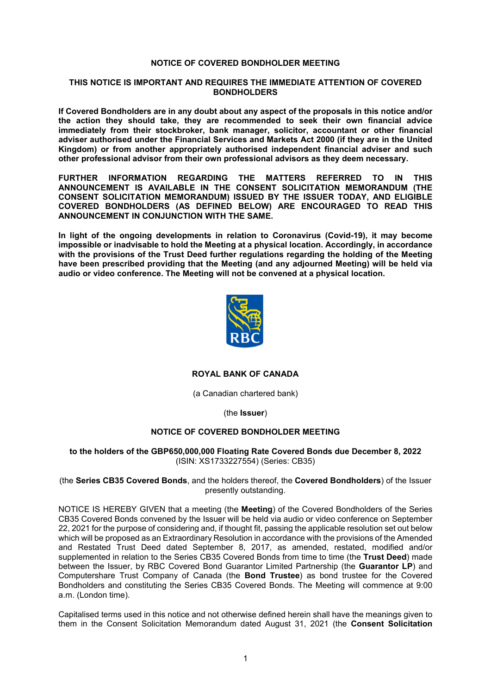## **NOTICE OF COVERED BONDHOLDER MEETING**

## **THIS NOTICE IS IMPORTANT AND REQUIRES THE IMMEDIATE ATTENTION OF COVERED BONDHOLDERS**

**If Covered Bondholders are in any doubt about any aspect of the proposals in this notice and/or the action they should take, they are recommended to seek their own financial advice immediately from their stockbroker, bank manager, solicitor, accountant or other financial adviser authorised under the Financial Services and Markets Act 2000 (if they are in the United Kingdom) or from another appropriately authorised independent financial adviser and such other professional advisor from their own professional advisors as they deem necessary.**

**FURTHER INFORMATION REGARDING THE MATTERS REFERRED TO IN THIS ANNOUNCEMENT IS AVAILABLE IN THE CONSENT SOLICITATION MEMORANDUM (THE CONSENT SOLICITATION MEMORANDUM) ISSUED BY THE ISSUER TODAY, AND ELIGIBLE COVERED BONDHOLDERS (AS DEFINED BELOW) ARE ENCOURAGED TO READ THIS ANNOUNCEMENT IN CONJUNCTION WITH THE SAME.**

**In light of the ongoing developments in relation to Coronavirus (Covid-19), it may become impossible or inadvisable to hold the Meeting at a physical location. Accordingly, in accordance with the provisions of the Trust Deed further regulations regarding the holding of the Meeting have been prescribed providing that the Meeting (and any adjourned Meeting) will be held via audio or video conference. The Meeting will not be convened at a physical location.**



# **ROYAL BANK OF CANADA**

(a Canadian chartered bank)

(the **Issuer**)

# **NOTICE OF COVERED BONDHOLDER MEETING**

## **to the holders of the GBP650,000,000 Floating Rate Covered Bonds due December 8, 2022** (ISIN: XS1733227554) (Series: CB35)

## (the **Series CB35 Covered Bonds**, and the holders thereof, the **Covered Bondholders**) of the Issuer presently outstanding.

NOTICE IS HEREBY GIVEN that a meeting (the **Meeting**) of the Covered Bondholders of the Series CB35 Covered Bonds convened by the Issuer will be held via audio or video conference on September 22, 2021 for the purpose of considering and, if thought fit, passing the applicable resolution set out below which will be proposed as an Extraordinary Resolution in accordance with the provisions of the Amended and Restated Trust Deed dated September 8, 2017, as amended, restated, modified and/or supplemented in relation to the Series CB35 Covered Bonds from time to time (the **Trust Deed**) made between the Issuer, by RBC Covered Bond Guarantor Limited Partnership (the **Guarantor LP**) and Computershare Trust Company of Canada (the **Bond Trustee**) as bond trustee for the Covered Bondholders and constituting the Series CB35 Covered Bonds. The Meeting will commence at 9:00 a.m. (London time).

Capitalised terms used in this notice and not otherwise defined herein shall have the meanings given to them in the Consent Solicitation Memorandum dated August 31, 2021 (the **Consent Solicitation**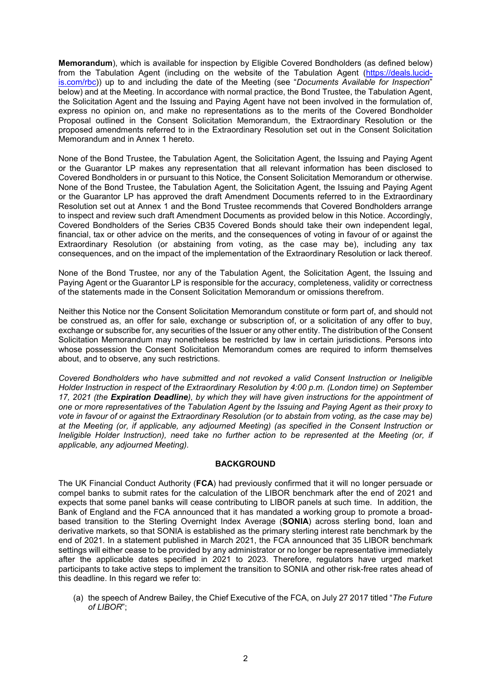**Memorandum**), which is available for inspection by Eligible Covered Bondholders (as defined below) [from the Tabulation Agent \(including on the website of the Tabulation Agent \(https://deals.lucid](https://deals.lucid-is.com/rbc)is.com/rbc)) up to and including the date of the Meeting (see "*Documents Available for Inspection*" below) and at the Meeting. In accordance with normal practice, the Bond Trustee, the Tabulation Agent, the Solicitation Agent and the Issuing and Paying Agent have not been involved in the formulation of, express no opinion on, and make no representations as to the merits of the Covered Bondholder Proposal outlined in the Consent Solicitation Memorandum, the Extraordinary Resolution or the proposed amendments referred to in the Extraordinary Resolution set out in the Consent Solicitation Memorandum and in Annex 1 hereto.

None of the Bond Trustee, the Tabulation Agent, the Solicitation Agent, the Issuing and Paying Agent or the Guarantor LP makes any representation that all relevant information has been disclosed to Covered Bondholders in or pursuant to this Notice, the Consent Solicitation Memorandum or otherwise. None of the Bond Trustee, the Tabulation Agent, the Solicitation Agent, the Issuing and Paying Agent or the Guarantor LP has approved the draft Amendment Documents referred to in the Extraordinary Resolution set out at Annex 1 and the Bond Trustee recommends that Covered Bondholders arrange to inspect and review such draft Amendment Documents as provided below in this Notice. Accordingly, Covered Bondholders of the Series CB35 Covered Bonds should take their own independent legal, financial, tax or other advice on the merits, and the consequences of voting in favour of or against the Extraordinary Resolution (or abstaining from voting, as the case may be), including any tax consequences, and on the impact of the implementation of the Extraordinary Resolution or lack thereof.

None of the Bond Trustee, nor any of the Tabulation Agent, the Solicitation Agent, the Issuing and Paying Agent or the Guarantor LP is responsible for the accuracy, completeness, validity or correctness of the statements made in the Consent Solicitation Memorandum or omissions therefrom.

Neither this Notice nor the Consent Solicitation Memorandum constitute or form part of, and should not be construed as, an offer for sale, exchange or subscription of, or a solicitation of any offer to buy, exchange or subscribe for, any securities of the Issuer or any other entity. The distribution of the Consent Solicitation Memorandum may nonetheless be restricted by law in certain jurisdictions. Persons into whose possession the Consent Solicitation Memorandum comes are required to inform themselves about, and to observe, any such restrictions.

*Covered Bondholders who have submitted and not revoked a valid Consent Instruction or Ineligible Holder Instruction in respect of the Extraordinary Resolution by 4:00 p.m. (London time) on September 17, 2021 (the Expiration Deadline), by which they will have given instructions for the appointment of one or more representatives of the Tabulation Agent by the Issuing and Paying Agent as their proxy to vote in favour of or against the Extraordinary Resolution (or to abstain from voting, as the case may be) at the Meeting (or, if applicable, any adjourned Meeting) (as specified in the Consent Instruction or Ineligible Holder Instruction), need take no further action to be represented at the Meeting (or, if applicable, any adjourned Meeting).*

## **BACKGROUND**

The UK Financial Conduct Authority (**FCA**) had previously confirmed that it will no longer persuade or compel banks to submit rates for the calculation of the LIBOR benchmark after the end of 2021 and expects that some panel banks will cease contributing to LIBOR panels at such time. In addition, the Bank of England and the FCA announced that it has mandated a working group to promote a broadbased transition to the Sterling Overnight Index Average (**SONIA**) across sterling bond, loan and derivative markets, so that SONIA is established as the primary sterling interest rate benchmark by the end of 2021. In a statement published in March 2021, the FCA announced that 35 LIBOR benchmark settings will either cease to be provided by any administrator or no longer be representative immediately after the applicable dates specified in 2021 to 2023. Therefore, regulators have urged market participants to take active steps to implement the transition to SONIA and other risk-free rates ahead of this deadline. In this regard we refer to:

(a) the speech of Andrew Bailey, the Chief Executive of the FCA, on July 27 2017 titled "*The Future of LIBOR*";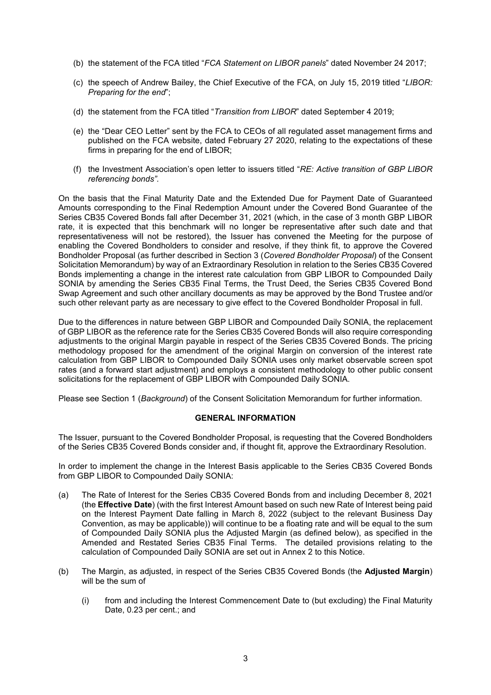- (b) the statement of the FCA titled "*FCA Statement on LIBOR panels*" dated November 24 2017;
- (c) the speech of Andrew Bailey, the Chief Executive of the FCA, on July 15, 2019 titled "*LIBOR: Preparing for the end*";
- (d) the statement from the FCA titled "*Transition from LIBOR*" dated September 4 2019;
- (e) the "Dear CEO Letter" sent by the FCA to CEOs of all regulated asset management firms and published on the FCA website, dated February 27 2020, relating to the expectations of these firms in preparing for the end of LIBOR;
- (f) the Investment Association's open letter to issuers titled "*RE: Active transition of GBP LIBOR referencing bonds".*

On the basis that the Final Maturity Date and the Extended Due for Payment Date of Guaranteed Amounts corresponding to the Final Redemption Amount under the Covered Bond Guarantee of the Series CB35 Covered Bonds fall after December 31, 2021 (which, in the case of 3 month GBP LIBOR rate, it is expected that this benchmark will no longer be representative after such date and that representativeness will not be restored), the Issuer has convened the Meeting for the purpose of enabling the Covered Bondholders to consider and resolve, if they think fit, to approve the Covered Bondholder Proposal (as further described in Section 3 (*Covered Bondholder Proposal*) of the Consent Solicitation Memorandum) by way of an Extraordinary Resolution in relation to the Series CB35 Covered Bonds implementing a change in the interest rate calculation from GBP LIBOR to Compounded Daily SONIA by amending the Series CB35 Final Terms, the Trust Deed, the Series CB35 Covered Bond Swap Agreement and such other ancillary documents as may be approved by the Bond Trustee and/or such other relevant party as are necessary to give effect to the Covered Bondholder Proposal in full.

Due to the differences in nature between GBP LIBOR and Compounded Daily SONIA, the replacement of GBP LIBOR as the reference rate for the Series CB35 Covered Bonds will also require corresponding adjustments to the original Margin payable in respect of the Series CB35 Covered Bonds. The pricing methodology proposed for the amendment of the original Margin on conversion of the interest rate calculation from GBP LIBOR to Compounded Daily SONIA uses only market observable screen spot rates (and a forward start adjustment) and employs a consistent methodology to other public consent solicitations for the replacement of GBP LIBOR with Compounded Daily SONIA.

Please see Section 1 (*Background*) of the Consent Solicitation Memorandum for further information.

# **GENERAL INFORMATION**

The Issuer, pursuant to the Covered Bondholder Proposal, is requesting that the Covered Bondholders of the Series CB35 Covered Bonds consider and, if thought fit, approve the Extraordinary Resolution.

In order to implement the change in the Interest Basis applicable to the Series CB35 Covered Bonds from GBP LIBOR to Compounded Daily SONIA:

- (a) The Rate of Interest for the Series CB35 Covered Bonds from and including December 8, 2021 (the **Effective Date**) (with the first Interest Amount based on such new Rate of Interest being paid on the Interest Payment Date falling in March 8, 2022 (subject to the relevant Business Day Convention, as may be applicable)) will continue to be a floating rate and will be equal to the sum of Compounded Daily SONIA plus the Adjusted Margin (as defined below), as specified in the Amended and Restated Series CB35 Final Terms. The detailed provisions relating to the calculation of Compounded Daily SONIA are set out in Annex 2 to this Notice.
- (b) The Margin, as adjusted, in respect of the Series CB35 Covered Bonds (the **Adjusted Margin**) will be the sum of
	- (i) from and including the Interest Commencement Date to (but excluding) the Final Maturity Date, 0.23 per cent.; and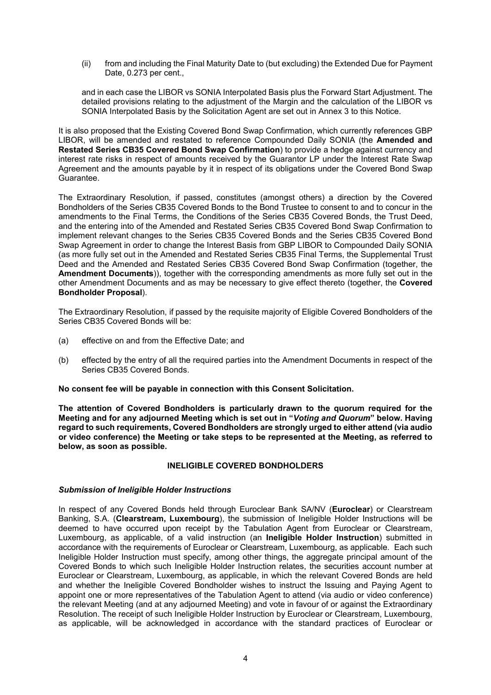(ii) from and including the Final Maturity Date to (but excluding) the Extended Due for Payment Date, 0.273 per cent.,

and in each case the LIBOR vs SONIA Interpolated Basis plus the Forward Start Adjustment. The detailed provisions relating to the adjustment of the Margin and the calculation of the LIBOR vs SONIA Interpolated Basis by the Solicitation Agent are set out in Annex 3 to this Notice.

It is also proposed that the Existing Covered Bond Swap Confirmation, which currently references GBP LIBOR, will be amended and restated to reference Compounded Daily SONIA (the **Amended and Restated Series CB35 Covered Bond Swap Confirmation**) to provide a hedge against currency and interest rate risks in respect of amounts received by the Guarantor LP under the Interest Rate Swap Agreement and the amounts payable by it in respect of its obligations under the Covered Bond Swap Guarantee.

The Extraordinary Resolution, if passed, constitutes (amongst others) a direction by the Covered Bondholders of the Series CB35 Covered Bonds to the Bond Trustee to consent to and to concur in the amendments to the Final Terms, the Conditions of the Series CB35 Covered Bonds, the Trust Deed, and the entering into of the Amended and Restated Series CB35 Covered Bond Swap Confirmation to implement relevant changes to the Series CB35 Covered Bonds and the Series CB35 Covered Bond Swap Agreement in order to change the Interest Basis from GBP LIBOR to Compounded Daily SONIA (as more fully set out in the Amended and Restated Series CB35 Final Terms, the Supplemental Trust Deed and the Amended and Restated Series CB35 Covered Bond Swap Confirmation (together, the **Amendment Documents**)), together with the corresponding amendments as more fully set out in the other Amendment Documents and as may be necessary to give effect thereto (together, the **Covered Bondholder Proposal**).

The Extraordinary Resolution, if passed by the requisite majority of Eligible Covered Bondholders of the Series CB35 Covered Bonds will be:

- (a) effective on and from the Effective Date; and
- (b) effected by the entry of all the required parties into the Amendment Documents in respect of the Series CB35 Covered Bonds.

**No consent fee will be payable in connection with this Consent Solicitation.**

**The attention of Covered Bondholders is particularly drawn to the quorum required for the Meeting and for any adjourned Meeting which is set out in "***Voting and Quorum***" below. Having regard to such requirements, Covered Bondholders are strongly urged to either attend (via audio or video conference) the Meeting or take steps to be represented at the Meeting, as referred to below, as soon as possible.**

# **INELIGIBLE COVERED BONDHOLDERS**

# *Submission of Ineligible Holder Instructions*

In respect of any Covered Bonds held through Euroclear Bank SA/NV (**Euroclear**) or Clearstream Banking, S.A. (**Clearstream, Luxembourg**), the submission of Ineligible Holder Instructions will be deemed to have occurred upon receipt by the Tabulation Agent from Euroclear or Clearstream, Luxembourg, as applicable, of a valid instruction (an **Ineligible Holder Instruction**) submitted in accordance with the requirements of Euroclear or Clearstream, Luxembourg, as applicable. Each such Ineligible Holder Instruction must specify, among other things, the aggregate principal amount of the Covered Bonds to which such Ineligible Holder Instruction relates, the securities account number at Euroclear or Clearstream, Luxembourg, as applicable, in which the relevant Covered Bonds are held and whether the Ineligible Covered Bondholder wishes to instruct the Issuing and Paying Agent to appoint one or more representatives of the Tabulation Agent to attend (via audio or video conference) the relevant Meeting (and at any adjourned Meeting) and vote in favour of or against the Extraordinary Resolution. The receipt of such Ineligible Holder Instruction by Euroclear or Clearstream, Luxembourg, as applicable, will be acknowledged in accordance with the standard practices of Euroclear or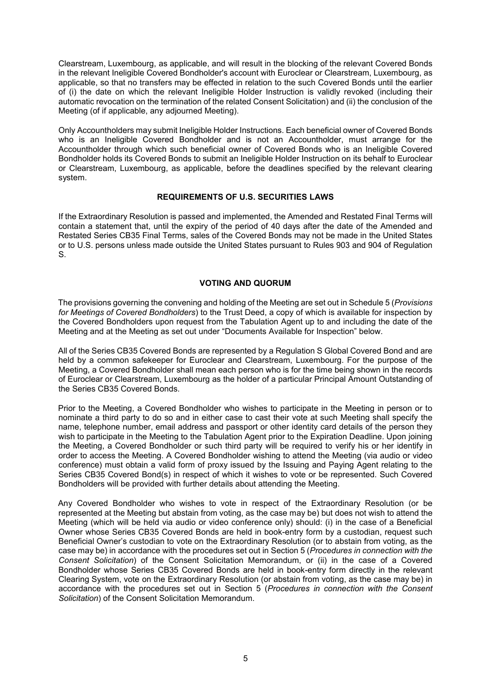Clearstream, Luxembourg, as applicable, and will result in the blocking of the relevant Covered Bonds in the relevant Ineligible Covered Bondholder's account with Euroclear or Clearstream, Luxembourg, as applicable, so that no transfers may be effected in relation to the such Covered Bonds until the earlier of (i) the date on which the relevant Ineligible Holder Instruction is validly revoked (including their automatic revocation on the termination of the related Consent Solicitation) and (ii) the conclusion of the Meeting (of if applicable, any adjourned Meeting).

Only Accountholders may submit Ineligible Holder Instructions. Each beneficial owner of Covered Bonds who is an Ineligible Covered Bondholder and is not an Accountholder, must arrange for the Accountholder through which such beneficial owner of Covered Bonds who is an Ineligible Covered Bondholder holds its Covered Bonds to submit an Ineligible Holder Instruction on its behalf to Euroclear or Clearstream, Luxembourg, as applicable, before the deadlines specified by the relevant clearing system.

# **REQUIREMENTS OF U.S. SECURITIES LAWS**

If the Extraordinary Resolution is passed and implemented, the Amended and Restated Final Terms will contain a statement that, until the expiry of the period of 40 days after the date of the Amended and Restated Series CB35 Final Terms, sales of the Covered Bonds may not be made in the United States or to U.S. persons unless made outside the United States pursuant to Rules 903 and 904 of Regulation S.

# **VOTING AND QUORUM**

The provisions governing the convening and holding of the Meeting are set out in Schedule 5 (*Provisions for Meetings of Covered Bondholders*) to the Trust Deed, a copy of which is available for inspection by the Covered Bondholders upon request from the Tabulation Agent up to and including the date of the Meeting and at the Meeting as set out under "Documents Available for Inspection" below.

All of the Series CB35 Covered Bonds are represented by a Regulation S Global Covered Bond and are held by a common safekeeper for Euroclear and Clearstream, Luxembourg. For the purpose of the Meeting, a Covered Bondholder shall mean each person who is for the time being shown in the records of Euroclear or Clearstream, Luxembourg as the holder of a particular Principal Amount Outstanding of the Series CB35 Covered Bonds.

Prior to the Meeting, a Covered Bondholder who wishes to participate in the Meeting in person or to nominate a third party to do so and in either case to cast their vote at such Meeting shall specify the name, telephone number, email address and passport or other identity card details of the person they wish to participate in the Meeting to the Tabulation Agent prior to the Expiration Deadline. Upon joining the Meeting, a Covered Bondholder or such third party will be required to verify his or her identify in order to access the Meeting. A Covered Bondholder wishing to attend the Meeting (via audio or video conference) must obtain a valid form of proxy issued by the Issuing and Paying Agent relating to the Series CB35 Covered Bond(s) in respect of which it wishes to vote or be represented. Such Covered Bondholders will be provided with further details about attending the Meeting.

Any Covered Bondholder who wishes to vote in respect of the Extraordinary Resolution (or be represented at the Meeting but abstain from voting, as the case may be) but does not wish to attend the Meeting (which will be held via audio or video conference only) should: (i) in the case of a Beneficial Owner whose Series CB35 Covered Bonds are held in book-entry form by a custodian, request such Beneficial Owner's custodian to vote on the Extraordinary Resolution (or to abstain from voting, as the case may be) in accordance with the procedures set out in Section 5 (*Procedures in connection with the Consent Solicitation*) of the Consent Solicitation Memorandum, or (ii) in the case of a Covered Bondholder whose Series CB35 Covered Bonds are held in book-entry form directly in the relevant Clearing System, vote on the Extraordinary Resolution (or abstain from voting, as the case may be) in accordance with the procedures set out in Section 5 (*Procedures in connection with the Consent Solicitation*) of the Consent Solicitation Memorandum.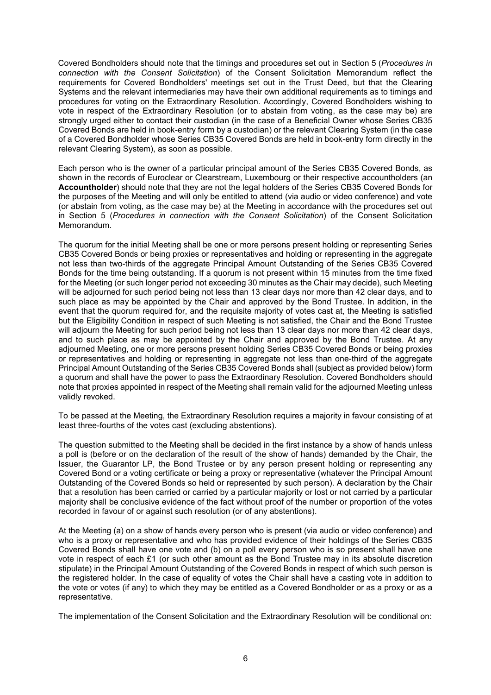Covered Bondholders should note that the timings and procedures set out in Section 5 (*Procedures in connection with the Consent Solicitation*) of the Consent Solicitation Memorandum reflect the requirements for Covered Bondholders' meetings set out in the Trust Deed, but that the Clearing Systems and the relevant intermediaries may have their own additional requirements as to timings and procedures for voting on the Extraordinary Resolution. Accordingly, Covered Bondholders wishing to vote in respect of the Extraordinary Resolution (or to abstain from voting, as the case may be) are strongly urged either to contact their custodian (in the case of a Beneficial Owner whose Series CB35 Covered Bonds are held in book-entry form by a custodian) or the relevant Clearing System (in the case of a Covered Bondholder whose Series CB35 Covered Bonds are held in book-entry form directly in the relevant Clearing System), as soon as possible.

Each person who is the owner of a particular principal amount of the Series CB35 Covered Bonds, as shown in the records of Euroclear or Clearstream, Luxembourg or their respective accountholders (an **Accountholder**) should note that they are not the legal holders of the Series CB35 Covered Bonds for the purposes of the Meeting and will only be entitled to attend (via audio or video conference) and vote (or abstain from voting, as the case may be) at the Meeting in accordance with the procedures set out in Section 5 (*Procedures in connection with the Consent Solicitation*) of the Consent Solicitation Memorandum.

The quorum for the initial Meeting shall be one or more persons present holding or representing Series CB35 Covered Bonds or being proxies or representatives and holding or representing in the aggregate not less than two-thirds of the aggregate Principal Amount Outstanding of the Series CB35 Covered Bonds for the time being outstanding. If a quorum is not present within 15 minutes from the time fixed for the Meeting (or such longer period not exceeding 30 minutes as the Chair may decide), such Meeting will be adjourned for such period being not less than 13 clear days nor more than 42 clear days, and to such place as may be appointed by the Chair and approved by the Bond Trustee. In addition, in the event that the quorum required for, and the requisite majority of votes cast at, the Meeting is satisfied but the Eligibility Condition in respect of such Meeting is not satisfied, the Chair and the Bond Trustee will adjourn the Meeting for such period being not less than 13 clear days nor more than 42 clear days, and to such place as may be appointed by the Chair and approved by the Bond Trustee. At any adjourned Meeting, one or more persons present holding Series CB35 Covered Bonds or being proxies or representatives and holding or representing in aggregate not less than one-third of the aggregate Principal Amount Outstanding of the Series CB35 Covered Bonds shall (subject as provided below) form a quorum and shall have the power to pass the Extraordinary Resolution. Covered Bondholders should note that proxies appointed in respect of the Meeting shall remain valid for the adjourned Meeting unless validly revoked.

To be passed at the Meeting, the Extraordinary Resolution requires a majority in favour consisting of at least three-fourths of the votes cast (excluding abstentions).

The question submitted to the Meeting shall be decided in the first instance by a show of hands unless a poll is (before or on the declaration of the result of the show of hands) demanded by the Chair, the Issuer, the Guarantor LP, the Bond Trustee or by any person present holding or representing any Covered Bond or a voting certificate or being a proxy or representative (whatever the Principal Amount Outstanding of the Covered Bonds so held or represented by such person). A declaration by the Chair that a resolution has been carried or carried by a particular majority or lost or not carried by a particular majority shall be conclusive evidence of the fact without proof of the number or proportion of the votes recorded in favour of or against such resolution (or of any abstentions).

At the Meeting (a) on a show of hands every person who is present (via audio or video conference) and who is a proxy or representative and who has provided evidence of their holdings of the Series CB35 Covered Bonds shall have one vote and (b) on a poll every person who is so present shall have one vote in respect of each £1 (or such other amount as the Bond Trustee may in its absolute discretion stipulate) in the Principal Amount Outstanding of the Covered Bonds in respect of which such person is the registered holder. In the case of equality of votes the Chair shall have a casting vote in addition to the vote or votes (if any) to which they may be entitled as a Covered Bondholder or as a proxy or as a representative.

The implementation of the Consent Solicitation and the Extraordinary Resolution will be conditional on: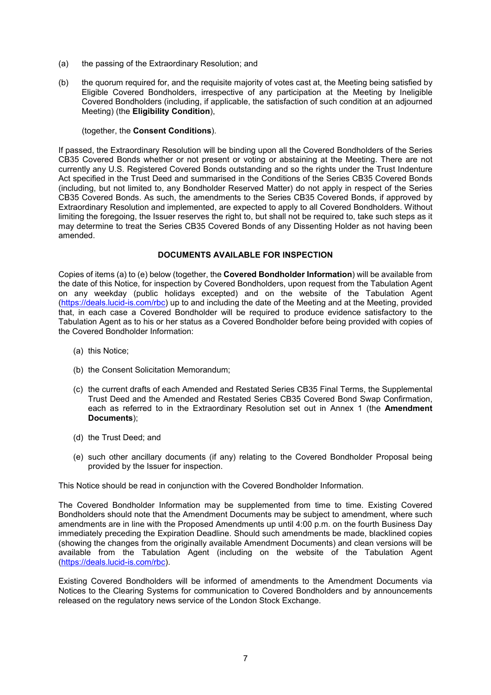- (a) the passing of the Extraordinary Resolution; and
- (b) the quorum required for, and the requisite majority of votes cast at, the Meeting being satisfied by Eligible Covered Bondholders, irrespective of any participation at the Meeting by Ineligible Covered Bondholders (including, if applicable, the satisfaction of such condition at an adjourned Meeting) (the **Eligibility Condition**),

# (together, the **Consent Conditions**).

If passed, the Extraordinary Resolution will be binding upon all the Covered Bondholders of the Series CB35 Covered Bonds whether or not present or voting or abstaining at the Meeting. There are not currently any U.S. Registered Covered Bonds outstanding and so the rights under the Trust Indenture Act specified in the Trust Deed and summarised in the Conditions of the Series CB35 Covered Bonds (including, but not limited to, any Bondholder Reserved Matter) do not apply in respect of the Series CB35 Covered Bonds. As such, the amendments to the Series CB35 Covered Bonds, if approved by Extraordinary Resolution and implemented, are expected to apply to all Covered Bondholders. Without limiting the foregoing, the Issuer reserves the right to, but shall not be required to, take such steps as it may determine to treat the Series CB35 Covered Bonds of any Dissenting Holder as not having been amended.

## **DOCUMENTS AVAILABLE FOR INSPECTION**

Copies of items (a) to (e) below (together, the **Covered Bondholder Information**) will be available from the date of this Notice, for inspection by Covered Bondholders, upon request from the Tabulation Agent on any weekday (public holidays excepted) and on the website of the Tabulation Agent [\(https://deals.lucid-is.com/rbc](https://deals.lucid-is.com/rbc)) up to and including the date of the Meeting and at the Meeting, provided that, in each case a Covered Bondholder will be required to produce evidence satisfactory to the Tabulation Agent as to his or her status as a Covered Bondholder before being provided with copies of the Covered Bondholder Information:

- (a) this Notice;
- (b) the Consent Solicitation Memorandum;
- (c) the current drafts of each Amended and Restated Series CB35 Final Terms, the Supplemental Trust Deed and the Amended and Restated Series CB35 Covered Bond Swap Confirmation, each as referred to in the Extraordinary Resolution set out in Annex 1 (the **Amendment Documents**);
- (d) the Trust Deed; and
- (e) such other ancillary documents (if any) relating to the Covered Bondholder Proposal being provided by the Issuer for inspection.

This Notice should be read in conjunction with the Covered Bondholder Information.

The Covered Bondholder Information may be supplemented from time to time. Existing Covered Bondholders should note that the Amendment Documents may be subject to amendment, where such amendments are in line with the Proposed Amendments up until 4:00 p.m. on the fourth Business Day immediately preceding the Expiration Deadline. Should such amendments be made, blacklined copies (showing the changes from the originally available Amendment Documents) and clean versions will be available from the Tabulation Agent (including on the website of the Tabulation Agent [\(https://deals.lucid-is.com/rbc](https://deals.lucid-is.com/rbc)).

Existing Covered Bondholders will be informed of amendments to the Amendment Documents via Notices to the Clearing Systems for communication to Covered Bondholders and by announcements released on the regulatory news service of the London Stock Exchange.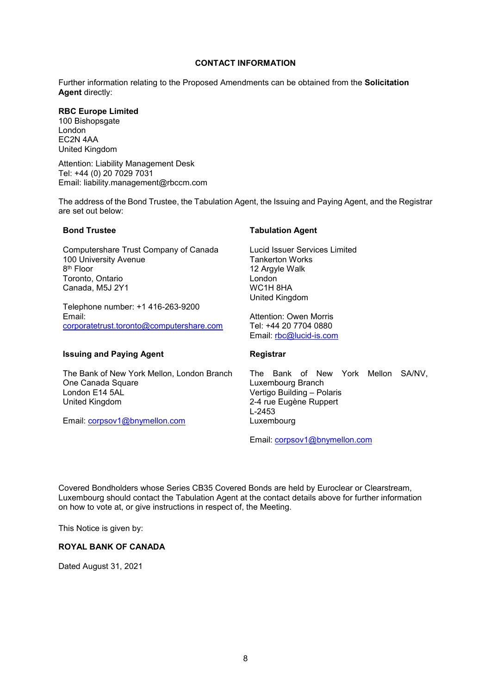## **CONTACT INFORMATION**

Further information relating to the Proposed Amendments can be obtained from the **Solicitation Agent** directly:

## **RBC Europe Limited**

100 Bishopsgate London EC2N 4AA United Kingdom

Attention: Liability Management Desk Tel: +44 (0) 20 7029 7031 Email: liability.management@rbccm.com

The address of the Bond Trustee, the Tabulation Agent, the Issuing and Paying Agent, and the Registrar are set out below:

| <b>Bond Trustee</b>                                                                                                                    | <b>Tabulation Agent</b>                                                                                                                    |
|----------------------------------------------------------------------------------------------------------------------------------------|--------------------------------------------------------------------------------------------------------------------------------------------|
| Computershare Trust Company of Canada<br>100 University Avenue<br>8 <sup>th</sup> Floor<br>Toronto, Ontario<br>Canada, M5J 2Y1         | Lucid Issuer Services Limited<br><b>Tankerton Works</b><br>12 Argyle Walk<br>London<br>WC1H8HA<br>United Kingdom                           |
| Telephone number: +1 416-263-9200<br>Email:<br>corporatetrust.toronto@computershare.com                                                | Attention: Owen Morris<br>Tel: +44 20 7704 0880<br>Email: rbc@lucid-is.com                                                                 |
| <b>Issuing and Paying Agent</b>                                                                                                        | Registrar                                                                                                                                  |
| The Bank of New York Mellon, London Branch<br>One Canada Square<br>London E14 5AL<br>United Kingdom<br>Email: $corpsov1@bnymellon.com$ | The Bank of New York Mellon<br>SA/NV.<br>Luxembourg Branch<br>Vertigo Building - Polaris<br>2-4 rue Eugène Ruppert<br>L-2453<br>Luxembourg |

Email: [corpsov1@bnymellon.com](mailto:corpsov1@bnymellon.com)

Covered Bondholders whose Series CB35 Covered Bonds are held by Euroclear or Clearstream, Luxembourg should contact the Tabulation Agent at the contact details above for further information on how to vote at, or give instructions in respect of, the Meeting.

This Notice is given by:

# **ROYAL BANK OF CANADA**

Dated August 31, 2021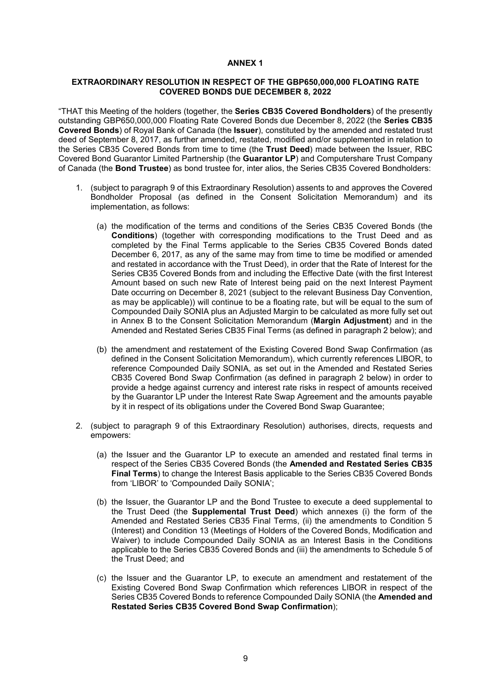#### **ANNEX 1**

## **EXTRAORDINARY RESOLUTION IN RESPECT OF THE GBP650,000,000 FLOATING RATE COVERED BONDS DUE DECEMBER 8, 2022**

"THAT this Meeting of the holders (together, the **Series CB35 Covered Bondholders**) of the presently outstanding GBP650,000,000 Floating Rate Covered Bonds due December 8, 2022 (the **Series CB35 Covered Bonds**) of Royal Bank of Canada (the **Issuer**), constituted by the amended and restated trust deed of September 8, 2017, as further amended, restated, modified and/or supplemented in relation to the Series CB35 Covered Bonds from time to time (the **Trust Deed**) made between the Issuer, RBC Covered Bond Guarantor Limited Partnership (the **Guarantor LP**) and Computershare Trust Company of Canada (the **Bond Trustee**) as bond trustee for, inter alios, the Series CB35 Covered Bondholders:

- 1. (subject to paragraph 9 of this Extraordinary Resolution) assents to and approves the Covered Bondholder Proposal (as defined in the Consent Solicitation Memorandum) and its implementation, as follows:
	- (a) the modification of the terms and conditions of the Series CB35 Covered Bonds (the **Conditions**) (together with corresponding modifications to the Trust Deed and as completed by the Final Terms applicable to the Series CB35 Covered Bonds dated December 6, 2017, as any of the same may from time to time be modified or amended and restated in accordance with the Trust Deed), in order that the Rate of Interest for the Series CB35 Covered Bonds from and including the Effective Date (with the first Interest Amount based on such new Rate of Interest being paid on the next Interest Payment Date occurring on December 8, 2021 (subject to the relevant Business Day Convention, as may be applicable)) will continue to be a floating rate, but will be equal to the sum of Compounded Daily SONIA plus an Adjusted Margin to be calculated as more fully set out in Annex B to the Consent Solicitation Memorandum (**Margin Adjustment**) and in the Amended and Restated Series CB35 Final Terms (as defined in paragraph 2 below); and
	- (b) the amendment and restatement of the Existing Covered Bond Swap Confirmation (as defined in the Consent Solicitation Memorandum), which currently references LIBOR, to reference Compounded Daily SONIA, as set out in the Amended and Restated Series CB35 Covered Bond Swap Confirmation (as defined in paragraph 2 below) in order to provide a hedge against currency and interest rate risks in respect of amounts received by the Guarantor LP under the Interest Rate Swap Agreement and the amounts payable by it in respect of its obligations under the Covered Bond Swap Guarantee;
- 2. (subject to paragraph 9 of this Extraordinary Resolution) authorises, directs, requests and empowers:
	- (a) the Issuer and the Guarantor LP to execute an amended and restated final terms in respect of the Series CB35 Covered Bonds (the **Amended and Restated Series CB35 Final Terms**) to change the Interest Basis applicable to the Series CB35 Covered Bonds from 'LIBOR' to 'Compounded Daily SONIA';
	- (b) the Issuer, the Guarantor LP and the Bond Trustee to execute a deed supplemental to the Trust Deed (the **Supplemental Trust Deed**) which annexes (i) the form of the Amended and Restated Series CB35 Final Terms, (ii) the amendments to Condition 5 (Interest) and Condition 13 (Meetings of Holders of the Covered Bonds, Modification and Waiver) to include Compounded Daily SONIA as an Interest Basis in the Conditions applicable to the Series CB35 Covered Bonds and (iii) the amendments to Schedule 5 of the Trust Deed; and
	- (c) the Issuer and the Guarantor LP, to execute an amendment and restatement of the Existing Covered Bond Swap Confirmation which references LIBOR in respect of the Series CB35 Covered Bonds to reference Compounded Daily SONIA (the **Amended and Restated Series CB35 Covered Bond Swap Confirmation**);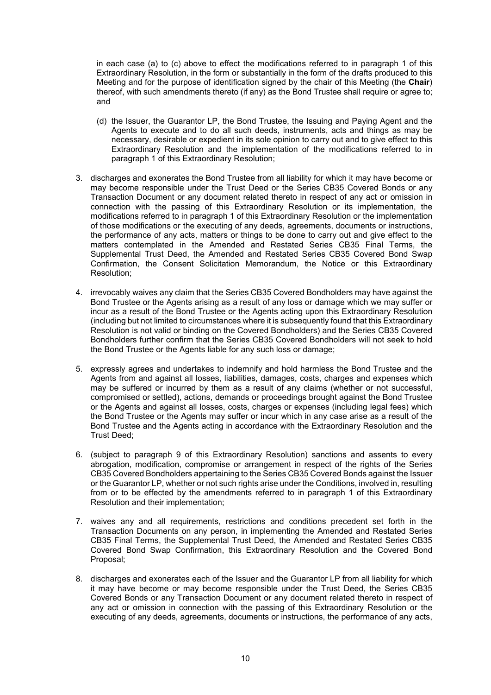in each case (a) to (c) above to effect the modifications referred to in paragraph 1 of this Extraordinary Resolution, in the form or substantially in the form of the drafts produced to this Meeting and for the purpose of identification signed by the chair of this Meeting (the **Chair**) thereof, with such amendments thereto (if any) as the Bond Trustee shall require or agree to; and

- (d) the Issuer, the Guarantor LP, the Bond Trustee, the Issuing and Paying Agent and the Agents to execute and to do all such deeds, instruments, acts and things as may be necessary, desirable or expedient in its sole opinion to carry out and to give effect to this Extraordinary Resolution and the implementation of the modifications referred to in paragraph 1 of this Extraordinary Resolution;
- 3. discharges and exonerates the Bond Trustee from all liability for which it may have become or may become responsible under the Trust Deed or the Series CB35 Covered Bonds or any Transaction Document or any document related thereto in respect of any act or omission in connection with the passing of this Extraordinary Resolution or its implementation, the modifications referred to in paragraph 1 of this Extraordinary Resolution or the implementation of those modifications or the executing of any deeds, agreements, documents or instructions, the performance of any acts, matters or things to be done to carry out and give effect to the matters contemplated in the Amended and Restated Series CB35 Final Terms, the Supplemental Trust Deed, the Amended and Restated Series CB35 Covered Bond Swap Confirmation, the Consent Solicitation Memorandum, the Notice or this Extraordinary Resolution;
- 4. irrevocably waives any claim that the Series CB35 Covered Bondholders may have against the Bond Trustee or the Agents arising as a result of any loss or damage which we may suffer or incur as a result of the Bond Trustee or the Agents acting upon this Extraordinary Resolution (including but not limited to circumstances where it is subsequently found that this Extraordinary Resolution is not valid or binding on the Covered Bondholders) and the Series CB35 Covered Bondholders further confirm that the Series CB35 Covered Bondholders will not seek to hold the Bond Trustee or the Agents liable for any such loss or damage;
- 5. expressly agrees and undertakes to indemnify and hold harmless the Bond Trustee and the Agents from and against all losses, liabilities, damages, costs, charges and expenses which may be suffered or incurred by them as a result of any claims (whether or not successful, compromised or settled), actions, demands or proceedings brought against the Bond Trustee or the Agents and against all losses, costs, charges or expenses (including legal fees) which the Bond Trustee or the Agents may suffer or incur which in any case arise as a result of the Bond Trustee and the Agents acting in accordance with the Extraordinary Resolution and the Trust Deed;
- 6. (subject to paragraph 9 of this Extraordinary Resolution) sanctions and assents to every abrogation, modification, compromise or arrangement in respect of the rights of the Series CB35 Covered Bondholders appertaining to the Series CB35 Covered Bonds against the Issuer or the Guarantor LP, whether or not such rights arise under the Conditions, involved in, resulting from or to be effected by the amendments referred to in paragraph 1 of this Extraordinary Resolution and their implementation;
- 7. waives any and all requirements, restrictions and conditions precedent set forth in the Transaction Documents on any person, in implementing the Amended and Restated Series CB35 Final Terms, the Supplemental Trust Deed, the Amended and Restated Series CB35 Covered Bond Swap Confirmation, this Extraordinary Resolution and the Covered Bond Proposal;
- 8. discharges and exonerates each of the Issuer and the Guarantor LP from all liability for which it may have become or may become responsible under the Trust Deed, the Series CB35 Covered Bonds or any Transaction Document or any document related thereto in respect of any act or omission in connection with the passing of this Extraordinary Resolution or the executing of any deeds, agreements, documents or instructions, the performance of any acts,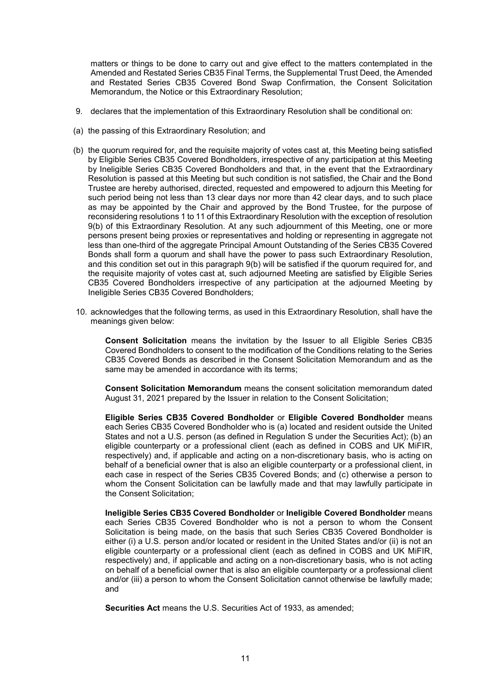matters or things to be done to carry out and give effect to the matters contemplated in the Amended and Restated Series CB35 Final Terms, the Supplemental Trust Deed, the Amended and Restated Series CB35 Covered Bond Swap Confirmation, the Consent Solicitation Memorandum, the Notice or this Extraordinary Resolution;

- 9. declares that the implementation of this Extraordinary Resolution shall be conditional on:
- (a) the passing of this Extraordinary Resolution; and
- (b) the quorum required for, and the requisite majority of votes cast at, this Meeting being satisfied by Eligible Series CB35 Covered Bondholders, irrespective of any participation at this Meeting by Ineligible Series CB35 Covered Bondholders and that, in the event that the Extraordinary Resolution is passed at this Meeting but such condition is not satisfied, the Chair and the Bond Trustee are hereby authorised, directed, requested and empowered to adjourn this Meeting for such period being not less than 13 clear days nor more than 42 clear days, and to such place as may be appointed by the Chair and approved by the Bond Trustee, for the purpose of reconsidering resolutions 1 to 11 of this Extraordinary Resolution with the exception of resolution 9(b) of this Extraordinary Resolution. At any such adjournment of this Meeting, one or more persons present being proxies or representatives and holding or representing in aggregate not less than one-third of the aggregate Principal Amount Outstanding of the Series CB35 Covered Bonds shall form a quorum and shall have the power to pass such Extraordinary Resolution, and this condition set out in this paragraph 9(b) will be satisfied if the quorum required for, and the requisite majority of votes cast at, such adjourned Meeting are satisfied by Eligible Series CB35 Covered Bondholders irrespective of any participation at the adjourned Meeting by Ineligible Series CB35 Covered Bondholders;
- 10. acknowledges that the following terms, as used in this Extraordinary Resolution, shall have the meanings given below:

**Consent Solicitation** means the invitation by the Issuer to all Eligible Series CB35 Covered Bondholders to consent to the modification of the Conditions relating to the Series CB35 Covered Bonds as described in the Consent Solicitation Memorandum and as the same may be amended in accordance with its terms;

**Consent Solicitation Memorandum** means the consent solicitation memorandum dated August 31, 2021 prepared by the Issuer in relation to the Consent Solicitation;

**Eligible Series CB35 Covered Bondholder** or **Eligible Covered Bondholder** means each Series CB35 Covered Bondholder who is (a) located and resident outside the United States and not a U.S. person (as defined in Regulation S under the Securities Act); (b) an eligible counterparty or a professional client (each as defined in COBS and UK MiFIR, respectively) and, if applicable and acting on a non-discretionary basis, who is acting on behalf of a beneficial owner that is also an eligible counterparty or a professional client, in each case in respect of the Series CB35 Covered Bonds; and (c) otherwise a person to whom the Consent Solicitation can be lawfully made and that may lawfully participate in the Consent Solicitation;

**Ineligible Series CB35 Covered Bondholder** or **Ineligible Covered Bondholder** means each Series CB35 Covered Bondholder who is not a person to whom the Consent Solicitation is being made, on the basis that such Series CB35 Covered Bondholder is either (i) a U.S. person and/or located or resident in the United States and/or (ii) is not an eligible counterparty or a professional client (each as defined in COBS and UK MiFIR, respectively) and, if applicable and acting on a non-discretionary basis, who is not acting on behalf of a beneficial owner that is also an eligible counterparty or a professional client and/or (iii) a person to whom the Consent Solicitation cannot otherwise be lawfully made; and

**Securities Act** means the U.S. Securities Act of 1933, as amended;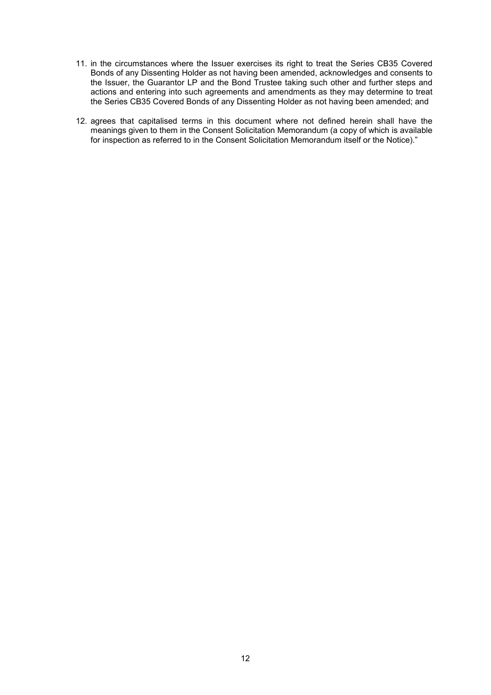- 11. in the circumstances where the Issuer exercises its right to treat the Series CB35 Covered Bonds of any Dissenting Holder as not having been amended, acknowledges and consents to the Issuer, the Guarantor LP and the Bond Trustee taking such other and further steps and actions and entering into such agreements and amendments as they may determine to treat the Series CB35 Covered Bonds of any Dissenting Holder as not having been amended; and
- 12. agrees that capitalised terms in this document where not defined herein shall have the meanings given to them in the Consent Solicitation Memorandum (a copy of which is available for inspection as referred to in the Consent Solicitation Memorandum itself or the Notice)."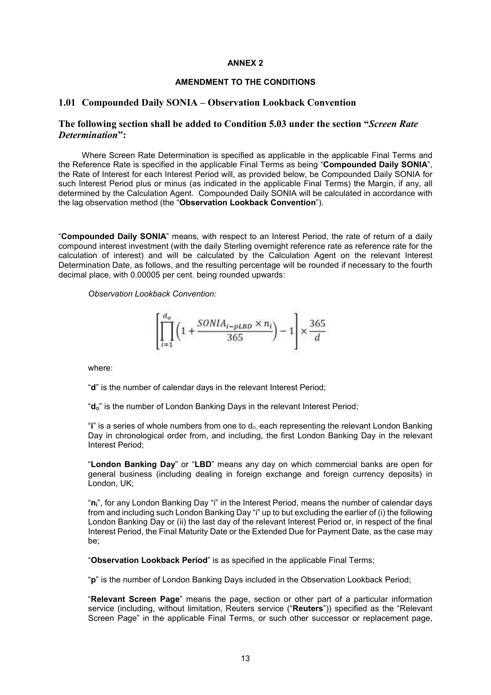### **ANNEX 2**

## **AMENDMENT TO THE CONDITIONS**

## **1.01 Compounded Daily SONIA – Observation Lookback Convention**

# **The following section shall be added to Condition 5.03 under the section "***Screen Rate Determination***":**

Where Screen Rate Determination is specified as applicable in the applicable Final Terms and the Reference Rate is specified in the applicable Final Terms as being "**Compounded Daily SONIA**", the Rate of Interest for each Interest Period will, as provided below, be Compounded Daily SONIA for such Interest Period plus or minus (as indicated in the applicable Final Terms) the Margin, if any, all determined by the Calculation Agent. Compounded Daily SONIA will be calculated in accordance with the lag observation method (the "**Observation Lookback Convention**").

"**Compounded Daily SONIA**" means, with respect to an Interest Period, the rate of return of a daily compound interest investment (with the daily Sterling overnight reference rate as reference rate for the calculation of interest) and will be calculated by the Calculation Agent on the relevant Interest Determination Date, as follows, and the resulting percentage will be rounded if necessary to the fourth decimal place, with 0.00005 per cent. being rounded upwards:

*Observation Lookback Convention:*

$$
\left[\prod_{i=1}^{d_o} \bigg(1+\frac{SONIA_{i-pLBD}\times n_i}{365}\bigg)-1\right]\times \frac{365}{d}
$$

where:

"**d**" is the number of calendar days in the relevant Interest Period;

"d<sub>o</sub>" is the number of London Banking Days in the relevant Interest Period;

"**i**" is a series of whole numbers from one to d<sub>o</sub>, each representing the relevant London Banking Day in chronological order from, and including, the first London Banking Day in the relevant Interest Period;

"**London Banking Day**" or "**LBD**" means any day on which commercial banks are open for general business (including dealing in foreign exchange and foreign currency deposits) in London, UK;

"**ni**", for any London Banking Day "i" in the Interest Period, means the number of calendar days from and including such London Banking Day "i" up to but excluding the earlier of (i) the following London Banking Day or (ii) the last day of the relevant Interest Period or, in respect of the final Interest Period, the Final Maturity Date or the Extended Due for Payment Date, as the case may be;

"**Observation Lookback Period**" is as specified in the applicable Final Terms;

"**p**" is the number of London Banking Days included in the Observation Lookback Period;

"**Relevant Screen Page**" means the page, section or other part of a particular information service (including, without limitation, Reuters service ("**Reuters**")) specified as the "Relevant Screen Page" in the applicable Final Terms, or such other successor or replacement page,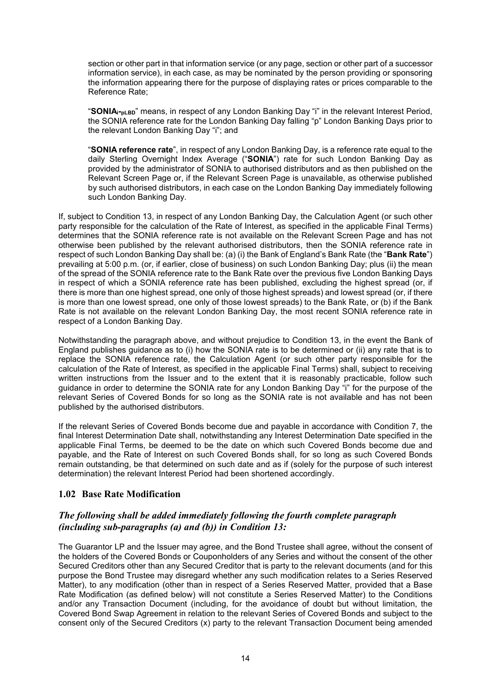section or other part in that information service (or any page, section or other part of a successor information service), in each case, as may be nominated by the person providing or sponsoring the information appearing there for the purpose of displaying rates or prices comparable to the Reference Rate;

"**SONIA**<sub>i</sub><sub>pLBD</sub>" means, in respect of any London Banking Day "i" in the relevant Interest Period, the SONIA reference rate for the London Banking Day falling "p" London Banking Days prior to the relevant London Banking Day "i"; and

"**SONIA reference rate**", in respect of any London Banking Day, is a reference rate equal to the daily Sterling Overnight Index Average ("**SONIA**") rate for such London Banking Day as provided by the administrator of SONIA to authorised distributors and as then published on the Relevant Screen Page or, if the Relevant Screen Page is unavailable, as otherwise published by such authorised distributors, in each case on the London Banking Day immediately following such London Banking Day.

If, subject to Condition 13, in respect of any London Banking Day, the Calculation Agent (or such other party responsible for the calculation of the Rate of Interest, as specified in the applicable Final Terms) determines that the SONIA reference rate is not available on the Relevant Screen Page and has not otherwise been published by the relevant authorised distributors, then the SONIA reference rate in respect of such London Banking Day shall be: (a) (i) the Bank of England's Bank Rate (the "**Bank Rate**") prevailing at 5:00 p.m. (or, if earlier, close of business) on such London Banking Day; plus (ii) the mean of the spread of the SONIA reference rate to the Bank Rate over the previous five London Banking Days in respect of which a SONIA reference rate has been published, excluding the highest spread (or, if there is more than one highest spread, one only of those highest spreads) and lowest spread (or, if there is more than one lowest spread, one only of those lowest spreads) to the Bank Rate, or (b) if the Bank Rate is not available on the relevant London Banking Day, the most recent SONIA reference rate in respect of a London Banking Day.

Notwithstanding the paragraph above, and without prejudice to Condition 13, in the event the Bank of England publishes guidance as to (i) how the SONIA rate is to be determined or (ii) any rate that is to replace the SONIA reference rate, the Calculation Agent (or such other party responsible for the calculation of the Rate of Interest, as specified in the applicable Final Terms) shall, subject to receiving written instructions from the Issuer and to the extent that it is reasonably practicable, follow such guidance in order to determine the SONIA rate for any London Banking Day "i" for the purpose of the relevant Series of Covered Bonds for so long as the SONIA rate is not available and has not been published by the authorised distributors.

If the relevant Series of Covered Bonds become due and payable in accordance with Condition 7, the final Interest Determination Date shall, notwithstanding any Interest Determination Date specified in the applicable Final Terms, be deemed to be the date on which such Covered Bonds become due and payable, and the Rate of Interest on such Covered Bonds shall, for so long as such Covered Bonds remain outstanding, be that determined on such date and as if (solely for the purpose of such interest determination) the relevant Interest Period had been shortened accordingly.

# **1.02 Base Rate Modification**

# *The following shall be added immediately following the fourth complete paragraph (including sub-paragraphs (a) and (b)) in Condition 13:*

The Guarantor LP and the Issuer may agree, and the Bond Trustee shall agree, without the consent of the holders of the Covered Bonds or Couponholders of any Series and without the consent of the other Secured Creditors other than any Secured Creditor that is party to the relevant documents (and for this purpose the Bond Trustee may disregard whether any such modification relates to a Series Reserved Matter), to any modification (other than in respect of a Series Reserved Matter, provided that a Base Rate Modification (as defined below) will not constitute a Series Reserved Matter) to the Conditions and/or any Transaction Document (including, for the avoidance of doubt but without limitation, the Covered Bond Swap Agreement in relation to the relevant Series of Covered Bonds and subject to the consent only of the Secured Creditors (x) party to the relevant Transaction Document being amended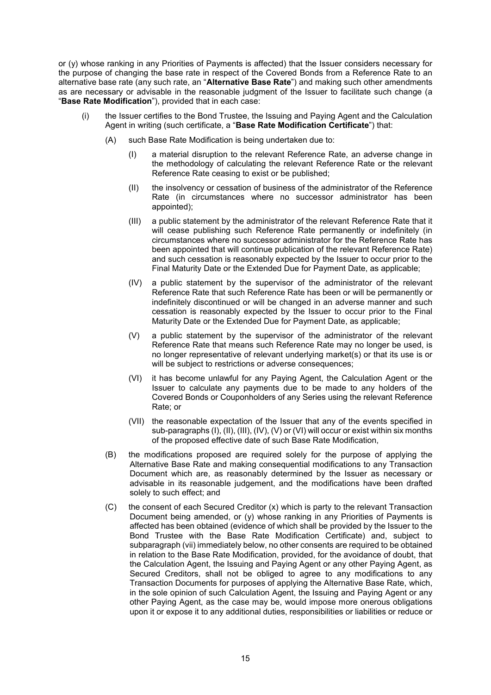or (y) whose ranking in any Priorities of Payments is affected) that the Issuer considers necessary for the purpose of changing the base rate in respect of the Covered Bonds from a Reference Rate to an alternative base rate (any such rate, an "**Alternative Base Rate**") and making such other amendments as are necessary or advisable in the reasonable judgment of the Issuer to facilitate such change (a "**Base Rate Modification**"), provided that in each case:

- (i) the Issuer certifies to the Bond Trustee, the Issuing and Paying Agent and the Calculation Agent in writing (such certificate, a "**Base Rate Modification Certificate**") that:
	- (A) such Base Rate Modification is being undertaken due to:
		- (I) a material disruption to the relevant Reference Rate, an adverse change in the methodology of calculating the relevant Reference Rate or the relevant Reference Rate ceasing to exist or be published;
		- (II) the insolvency or cessation of business of the administrator of the Reference Rate (in circumstances where no successor administrator has been appointed);
		- (III) a public statement by the administrator of the relevant Reference Rate that it will cease publishing such Reference Rate permanently or indefinitely (in circumstances where no successor administrator for the Reference Rate has been appointed that will continue publication of the relevant Reference Rate) and such cessation is reasonably expected by the Issuer to occur prior to the Final Maturity Date or the Extended Due for Payment Date, as applicable;
		- (IV) a public statement by the supervisor of the administrator of the relevant Reference Rate that such Reference Rate has been or will be permanently or indefinitely discontinued or will be changed in an adverse manner and such cessation is reasonably expected by the Issuer to occur prior to the Final Maturity Date or the Extended Due for Payment Date, as applicable;
		- (V) a public statement by the supervisor of the administrator of the relevant Reference Rate that means such Reference Rate may no longer be used, is no longer representative of relevant underlying market(s) or that its use is or will be subject to restrictions or adverse consequences;
		- (VI) it has become unlawful for any Paying Agent, the Calculation Agent or the Issuer to calculate any payments due to be made to any holders of the Covered Bonds or Couponholders of any Series using the relevant Reference Rate; or
		- (VII) the reasonable expectation of the Issuer that any of the events specified in sub-paragraphs (I), (II), (III), (IV), (V) or (VI) will occur or exist within six months of the proposed effective date of such Base Rate Modification,
	- (B) the modifications proposed are required solely for the purpose of applying the Alternative Base Rate and making consequential modifications to any Transaction Document which are, as reasonably determined by the Issuer as necessary or advisable in its reasonable judgement, and the modifications have been drafted solely to such effect; and
	- (C) the consent of each Secured Creditor (x) which is party to the relevant Transaction Document being amended, or (y) whose ranking in any Priorities of Payments is affected has been obtained (evidence of which shall be provided by the Issuer to the Bond Trustee with the Base Rate Modification Certificate) and, subject to subparagraph (vii) immediately below, no other consents are required to be obtained in relation to the Base Rate Modification, provided, for the avoidance of doubt, that the Calculation Agent, the Issuing and Paying Agent or any other Paying Agent, as Secured Creditors, shall not be obliged to agree to any modifications to any Transaction Documents for purposes of applying the Alternative Base Rate, which, in the sole opinion of such Calculation Agent, the Issuing and Paying Agent or any other Paying Agent, as the case may be, would impose more onerous obligations upon it or expose it to any additional duties, responsibilities or liabilities or reduce or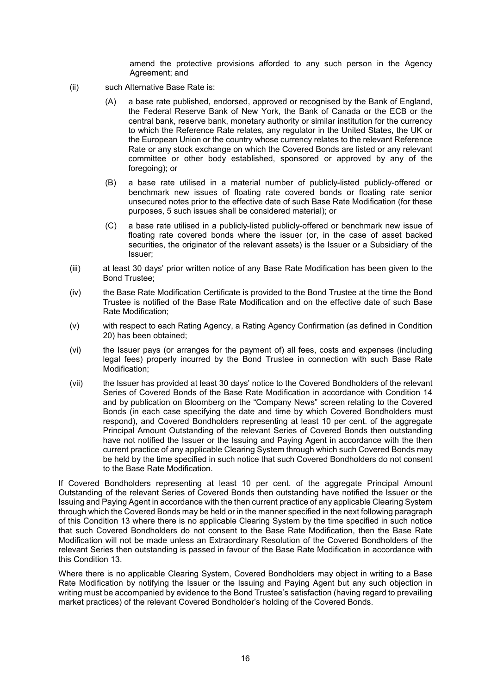amend the protective provisions afforded to any such person in the Agency Agreement; and

- (ii) such Alternative Base Rate is:
	- (A) a base rate published, endorsed, approved or recognised by the Bank of England, the Federal Reserve Bank of New York, the Bank of Canada or the ECB or the central bank, reserve bank, monetary authority or similar institution for the currency to which the Reference Rate relates, any regulator in the United States, the UK or the European Union or the country whose currency relates to the relevant Reference Rate or any stock exchange on which the Covered Bonds are listed or any relevant committee or other body established, sponsored or approved by any of the foregoing); or
	- (B) a base rate utilised in a material number of publicly-listed publicly-offered or benchmark new issues of floating rate covered bonds or floating rate senior unsecured notes prior to the effective date of such Base Rate Modification (for these purposes, 5 such issues shall be considered material); or
	- (C) a base rate utilised in a publicly-listed publicly-offered or benchmark new issue of floating rate covered bonds where the issuer (or, in the case of asset backed securities, the originator of the relevant assets) is the Issuer or a Subsidiary of the Issuer;
- (iii) at least 30 days' prior written notice of any Base Rate Modification has been given to the Bond Trustee;
- (iv) the Base Rate Modification Certificate is provided to the Bond Trustee at the time the Bond Trustee is notified of the Base Rate Modification and on the effective date of such Base Rate Modification;
- (v) with respect to each Rating Agency, a Rating Agency Confirmation (as defined in Condition 20) has been obtained;
- (vi) the Issuer pays (or arranges for the payment of) all fees, costs and expenses (including legal fees) properly incurred by the Bond Trustee in connection with such Base Rate Modification:
- (vii) the Issuer has provided at least 30 days' notice to the Covered Bondholders of the relevant Series of Covered Bonds of the Base Rate Modification in accordance with Condition 14 and by publication on Bloomberg on the "Company News" screen relating to the Covered Bonds (in each case specifying the date and time by which Covered Bondholders must respond), and Covered Bondholders representing at least 10 per cent. of the aggregate Principal Amount Outstanding of the relevant Series of Covered Bonds then outstanding have not notified the Issuer or the Issuing and Paying Agent in accordance with the then current practice of any applicable Clearing System through which such Covered Bonds may be held by the time specified in such notice that such Covered Bondholders do not consent to the Base Rate Modification.

If Covered Bondholders representing at least 10 per cent. of the aggregate Principal Amount Outstanding of the relevant Series of Covered Bonds then outstanding have notified the Issuer or the Issuing and Paying Agent in accordance with the then current practice of any applicable Clearing System through which the Covered Bonds may be held or in the manner specified in the next following paragraph of this Condition 13 where there is no applicable Clearing System by the time specified in such notice that such Covered Bondholders do not consent to the Base Rate Modification, then the Base Rate Modification will not be made unless an Extraordinary Resolution of the Covered Bondholders of the relevant Series then outstanding is passed in favour of the Base Rate Modification in accordance with this Condition 13.

Where there is no applicable Clearing System, Covered Bondholders may object in writing to a Base Rate Modification by notifying the Issuer or the Issuing and Paying Agent but any such objection in writing must be accompanied by evidence to the Bond Trustee's satisfaction (having regard to prevailing market practices) of the relevant Covered Bondholder's holding of the Covered Bonds.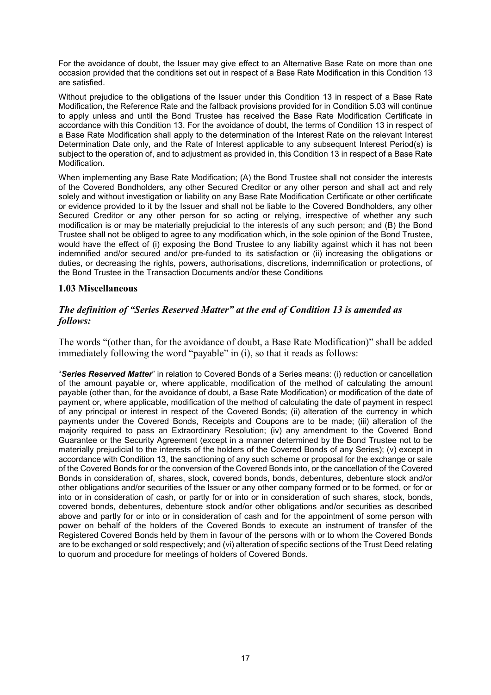For the avoidance of doubt, the Issuer may give effect to an Alternative Base Rate on more than one occasion provided that the conditions set out in respect of a Base Rate Modification in this Condition 13 are satisfied.

Without prejudice to the obligations of the Issuer under this Condition 13 in respect of a Base Rate Modification, the Reference Rate and the fallback provisions provided for in Condition 5.03 will continue to apply unless and until the Bond Trustee has received the Base Rate Modification Certificate in accordance with this Condition 13. For the avoidance of doubt, the terms of Condition 13 in respect of a Base Rate Modification shall apply to the determination of the Interest Rate on the relevant Interest Determination Date only, and the Rate of Interest applicable to any subsequent Interest Period(s) is subject to the operation of, and to adjustment as provided in, this Condition 13 in respect of a Base Rate Modification.

When implementing any Base Rate Modification; (A) the Bond Trustee shall not consider the interests of the Covered Bondholders, any other Secured Creditor or any other person and shall act and rely solely and without investigation or liability on any Base Rate Modification Certificate or other certificate or evidence provided to it by the Issuer and shall not be liable to the Covered Bondholders, any other Secured Creditor or any other person for so acting or relying, irrespective of whether any such modification is or may be materially prejudicial to the interests of any such person; and (B) the Bond Trustee shall not be obliged to agree to any modification which, in the sole opinion of the Bond Trustee, would have the effect of (i) exposing the Bond Trustee to any liability against which it has not been indemnified and/or secured and/or pre-funded to its satisfaction or (ii) increasing the obligations or duties, or decreasing the rights, powers, authorisations, discretions, indemnification or protections, of the Bond Trustee in the Transaction Documents and/or these Conditions

# **1.03 Miscellaneous**

# *The definition of "Series Reserved Matter" at the end of Condition 13 is amended as follows:*

The words "(other than, for the avoidance of doubt, a Base Rate Modification)" shall be added immediately following the word "payable" in (i), so that it reads as follows:

"*Series Reserved Matter*" in relation to Covered Bonds of a Series means: (i) reduction or cancellation of the amount payable or, where applicable, modification of the method of calculating the amount payable (other than, for the avoidance of doubt, a Base Rate Modification) or modification of the date of payment or, where applicable, modification of the method of calculating the date of payment in respect of any principal or interest in respect of the Covered Bonds; (ii) alteration of the currency in which payments under the Covered Bonds, Receipts and Coupons are to be made; (iii) alteration of the majority required to pass an Extraordinary Resolution; (iv) any amendment to the Covered Bond Guarantee or the Security Agreement (except in a manner determined by the Bond Trustee not to be materially prejudicial to the interests of the holders of the Covered Bonds of any Series); (v) except in accordance with Condition 13, the sanctioning of any such scheme or proposal for the exchange or sale of the Covered Bonds for or the conversion of the Covered Bonds into, or the cancellation of the Covered Bonds in consideration of, shares, stock, covered bonds, bonds, debentures, debenture stock and/or other obligations and/or securities of the Issuer or any other company formed or to be formed, or for or into or in consideration of cash, or partly for or into or in consideration of such shares, stock, bonds, covered bonds, debentures, debenture stock and/or other obligations and/or securities as described above and partly for or into or in consideration of cash and for the appointment of some person with power on behalf of the holders of the Covered Bonds to execute an instrument of transfer of the Registered Covered Bonds held by them in favour of the persons with or to whom the Covered Bonds are to be exchanged or sold respectively; and (vi) alteration of specific sections of the Trust Deed relating to quorum and procedure for meetings of holders of Covered Bonds.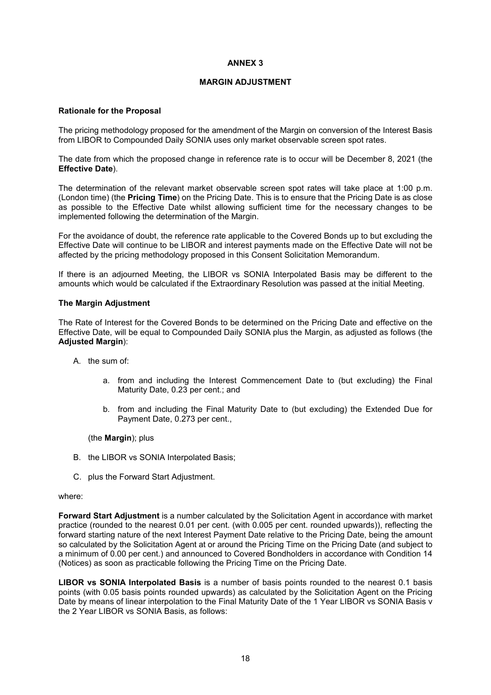## **ANNEX 3**

## **MARGIN ADJUSTMENT**

## **Rationale for the Proposal**

The pricing methodology proposed for the amendment of the Margin on conversion of the Interest Basis from LIBOR to Compounded Daily SONIA uses only market observable screen spot rates.

The date from which the proposed change in reference rate is to occur will be December 8, 2021 (the **Effective Date**).

The determination of the relevant market observable screen spot rates will take place at 1:00 p.m. (London time) (the **Pricing Time**) on the Pricing Date. This is to ensure that the Pricing Date is as close as possible to the Effective Date whilst allowing sufficient time for the necessary changes to be implemented following the determination of the Margin.

For the avoidance of doubt, the reference rate applicable to the Covered Bonds up to but excluding the Effective Date will continue to be LIBOR and interest payments made on the Effective Date will not be affected by the pricing methodology proposed in this Consent Solicitation Memorandum.

If there is an adjourned Meeting, the LIBOR vs SONIA Interpolated Basis may be different to the amounts which would be calculated if the Extraordinary Resolution was passed at the initial Meeting.

# **The Margin Adjustment**

The Rate of Interest for the Covered Bonds to be determined on the Pricing Date and effective on the Effective Date, will be equal to Compounded Daily SONIA plus the Margin, as adjusted as follows (the **Adjusted Margin**):

- A. the sum of:
	- a. from and including the Interest Commencement Date to (but excluding) the Final Maturity Date, 0.23 per cent.; and
	- b. from and including the Final Maturity Date to (but excluding) the Extended Due for Payment Date, 0.273 per cent.,

(the **Margin**); plus

- B. the LIBOR vs SONIA Interpolated Basis;
- C. plus the Forward Start Adjustment.

#### where:

**Forward Start Adjustment** is a number calculated by the Solicitation Agent in accordance with market practice (rounded to the nearest 0.01 per cent. (with 0.005 per cent. rounded upwards)), reflecting the forward starting nature of the next Interest Payment Date relative to the Pricing Date, being the amount so calculated by the Solicitation Agent at or around the Pricing Time on the Pricing Date (and subject to a minimum of 0.00 per cent.) and announced to Covered Bondholders in accordance with Condition 14 (Notices) as soon as practicable following the Pricing Time on the Pricing Date.

**LIBOR vs SONIA Interpolated Basis** is a number of basis points rounded to the nearest 0.1 basis points (with 0.05 basis points rounded upwards) as calculated by the Solicitation Agent on the Pricing Date by means of linear interpolation to the Final Maturity Date of the 1 Year LIBOR vs SONIA Basis v the 2 Year LIBOR vs SONIA Basis, as follows: